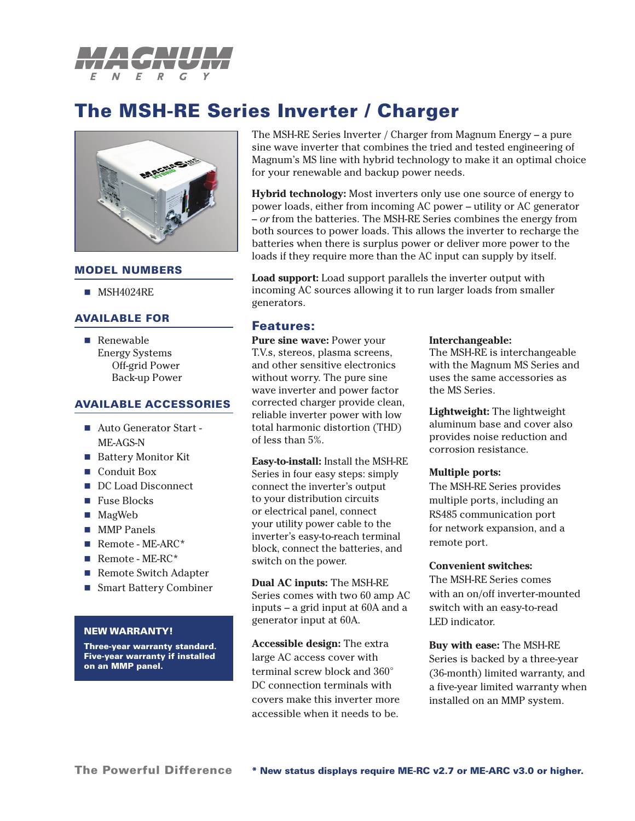

# **The MSH-RE Series Inverter / Charger**



## **MODEL NUMBERS**

**MSH4024RE** 

# **AVAILABLE FOR**

■ Renewable Energy Systems Off-grid Power Back-up Power

# **AVAILABLE ACCESSORIES**

- Auto Generator Start -ME-AGS-N
- Battery Monitor Kit
- Conduit Box
- DC Load Disconnect
- Fuse Blocks
- MagWeb
- **MMP** Panels
- Remote  $ME-ARC*$
- Remote  $ME-RC^*$
- Remote Switch Adapter
- Smart Battery Combiner

#### **NEW WARRANTY!**

**Three-year warranty standard. Five-year warranty if installed on an MMP panel.**

The MSH-RE Series Inverter / Charger from Magnum Energy – a pure sine wave inverter that combines the tried and tested engineering of Magnum's MS line with hybrid technology to make it an optimal choice for your renewable and backup power needs.

**Hybrid technology:** Most inverters only use one source of energy to power loads, either from incoming AC power – utility or AC generator – *or* from the batteries. The MSH-RE Series combines the energy from both sources to power loads. This allows the inverter to recharge the batteries when there is surplus power or deliver more power to the loads if they require more than the AC input can supply by itself.

**Load support:** Load support parallels the inverter output with incoming AC sources allowing it to run larger loads from smaller generators.

# **Features:**

**Pure sine wave:** Power your T.V.s, stereos, plasma screens, and other sensitive electronics without worry. The pure sine wave inverter and power factor corrected charger provide clean, reliable inverter power with low total harmonic distortion (THD) of less than 5%.

**Easy-to-install:** Install the MSH-RE Series in four easy steps: simply connect the inverter's output to your distribution circuits or electrical panel, connect your utility power cable to the inverter's easy-to-reach terminal block, connect the batteries, and switch on the power.

**Dual AC inputs:** The MSH-RE Series comes with two 60 amp AC inputs – a grid input at 60A and a generator input at 60A.

**Accessible design:** The extra large AC access cover with terminal screw block and 360° DC connection terminals with covers make this inverter more accessible when it needs to be.

#### **Interchangeable:**

The MSH-RE is interchangeable with the Magnum MS Series and uses the same accessories as the MS Series.

**Lightweight:** The lightweight aluminum base and cover also provides noise reduction and corrosion resistance.

#### **Multiple ports:**

The MSH-RE Series provides multiple ports, including an RS485 communication port for network expansion, and a remote port.

# **Convenient switches:**

The MSH-RE Series comes with an on/off inverter-mounted switch with an easy-to-read LED indicator.

### **Buy with ease:** The MSH-RE

Series is backed by a three-year (36-month) limited warranty, and a five-year limited warranty when installed on an MMP system.